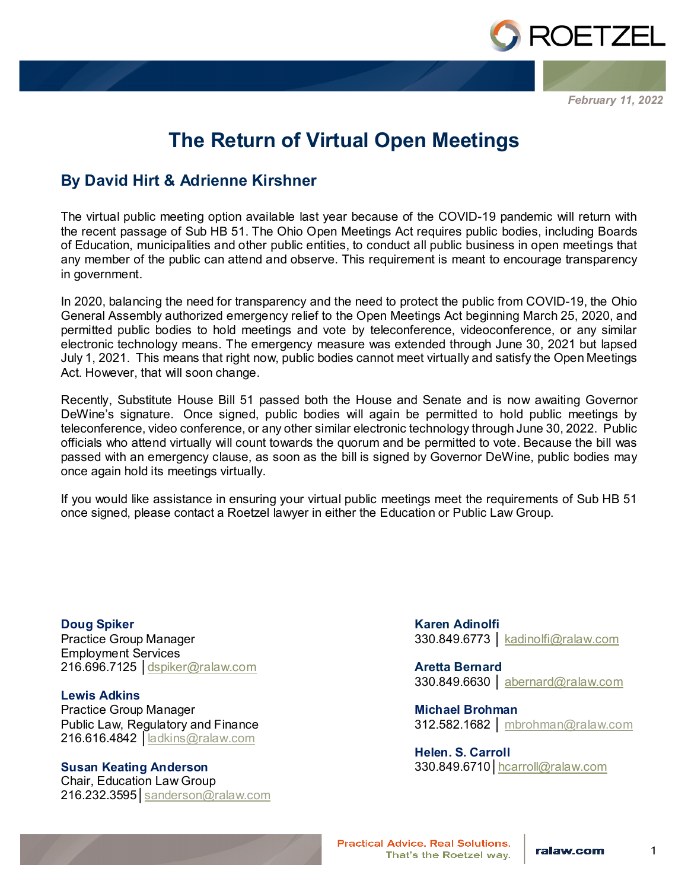

*February 11, 2022*

## **The Return of Virtual Open Meetings**

## **By David Hirt & Adrienne Kirshner**

The virtual public meeting option available last year because of the COVID-19 pandemic will return with the recent passage of Sub HB 51. The Ohio Open Meetings Act requires public bodies, including Boards of Education, municipalities and other public entities, to conduct all public business in open meetings that any member of the public can attend and observe. This requirement is meant to encourage transparency in government.

In 2020, balancing the need for transparency and the need to protect the public from COVID-19, the Ohio General Assembly authorized emergency relief to the Open Meetings Act beginning March 25, 2020, and permitted public bodies to hold meetings and vote by teleconference, videoconference, or any similar electronic technology means. The emergency measure was extended through June 30, 2021 but lapsed July 1, 2021. This means that right now, public bodies cannot meet virtually and satisfy the Open Meetings Act. However, that will soon change.

Recently, Substitute House Bill 51 passed both the House and Senate and is now awaiting Governor DeWine's signature. Once signed, public bodies will again be permitted to hold public meetings by teleconference, video conference, or any other similar electronic technology through June 30, 2022. Public officials who attend virtually will count towards the quorum and be permitted to vote. Because the bill was passed with an emergency clause, as soon as the bill is signed by Governor DeWine, public bodies may once again hold its meetings virtually.

If you would like assistance in ensuring your virtual public meetings meet the requirements of Sub HB 51 once signed, please contact a Roetzel lawyer in either the Education or Public Law Group.

**Doug Spiker** Practice Group Manager Employment Services 216.696.7125 │[dspiker@ralaw.com](mailto:dspiker@ralaw.com)

**Lewis Adkins** Practice Group Manager Public Law, Regulatory and Finance 216.616.4842 | <u>[ladkins@ralaw.com](mailto:ladkins@ralaw.com)</u>

**Susan Keating Anderson** Chair, Education Law Group 216.232.3595│[sanderson@ralaw.com](mailto:sanderson@ralaw.com) **Karen Adinolfi** 330.849.6773 │ kadinolfi@ralaw.com

**Aretta Bernard** 330.849.6630 │ abernard@ralaw.com

**Michael Brohman** 312.582.1682 │ [mbrohman@ralaw.com](mailto:mbrohman@ralaw.com)

**Helen. S. Carroll** 330.849.6710│[hcarroll@ralaw.com](mailto:hcarroll@ralaw.com)